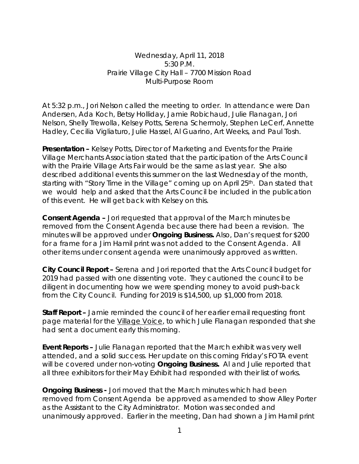Wednesday, April 11, 2018 5:30 P.M. Prairie Village City Hall – 7700 Mission Road Multi-Purpose Room

At 5:32 p.m., Jori Nelson called the meeting to order. In attendance were Dan Andersen, Ada Koch, Betsy Holliday, Jamie Robichaud, Julie Flanagan, Jori Nelson, Shelly Trewolla, Kelsey Potts, Serena Schermoly, Stephen LeCerf, Annette Hadley, Cecilia Vigliaturo, Julie Hassel, Al Guarino, Art Weeks, and Paul Tosh.

**Presentation –** Kelsey Potts, Director of Marketing and Events for the Prairie Village Merchants Association stated that the participation of the Arts Council with the Prairie Village Arts Fair would be the same as last year. She also described additional events this summer on the last Wednesday of the month, starting with "Story Time in the Village" coming up on April 25<sup>th</sup>. Dan stated that we would help and asked that the Arts Council be included in the publication of this event. He will get back with Kelsey on this.

**Consent Agenda –** Jori requested that approval of the March minutes be removed from the Consent Agenda because there had been a revision. The minutes will be approved under **Ongoing Business.** Also, Dan's request for \$200 for a frame for a Jim Hamil print was not added to the Consent Agenda. All other items under consent agenda were unanimously approved as written.

**City Council Report –** Serena and Jori reported that the Arts Council budget for 2019 had passed with one dissenting vote. They cautioned the council to be diligent in documenting how we were spending money to avoid push-back from the City Council. Funding for 2019 is \$14,500, up \$1,000 from 2018.

**Staff Report –** Jamie reminded the council of her earlier email requesting front page material for the Village Voice, to which Julie Flanagan responded that she had sent a document early this morning.

**Event Reports –** Julie Flanagan reported that the March exhibit was very well attended, and a solid success. Her update on this coming Friday's FOTA event will be covered under non-voting **Ongoing Business.** Al and Julie reported that all three exhibitors for their May Exhibit had responded with their list of works.

**Ongoing Business -** Jori moved that the March minutes which had been removed from Consent Agenda be approved as amended to show Alley Porter as the Assistant to the City Administrator. Motion was seconded and unanimously approved. Earlier in the meeting, Dan had shown a Jim Hamil print